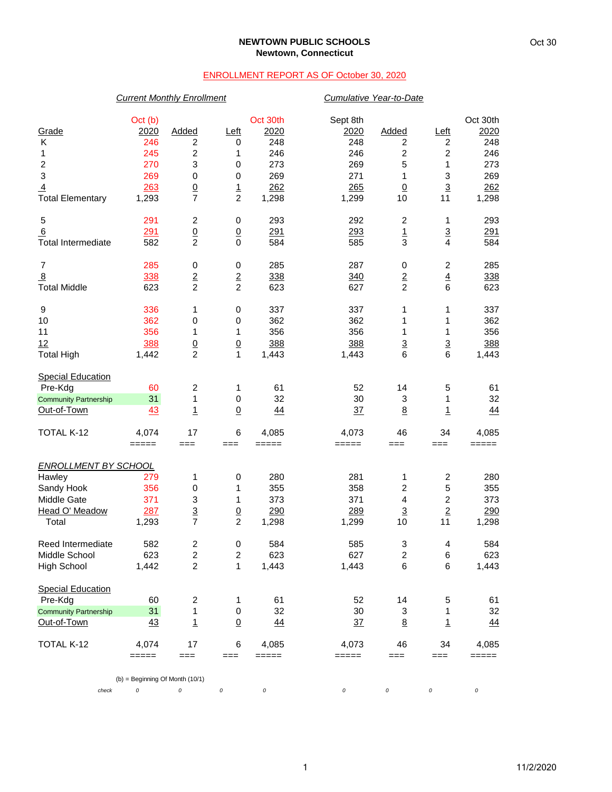## **NEWTOWN PUBLIC SCHOOLS Newtown, Connecticut**

## ENROLLMENT REPORT AS OF October 30, 2020

## *Current Monthly Enrollment Cumulative Year-to-Date*

| Grade                        | Oct (b)<br>2020                        | Added                    | <u>Left</u>             | Oct 30th<br>2020 | Sept 8th<br>2020 | Added                   | <u>Left</u>                      | Oct 30th<br>2020 |
|------------------------------|----------------------------------------|--------------------------|-------------------------|------------------|------------------|-------------------------|----------------------------------|------------------|
| Κ                            | 246                                    | 2                        | 0                       | 248              | 248              | 2                       | 2                                | 248              |
| 1                            | 245                                    | $\boldsymbol{2}$         | 1                       | 246              | 246              | 2                       | $\boldsymbol{2}$                 | 246              |
| $\overline{c}$               | 270                                    | 3                        | 0                       | 273              | 269              | 5                       | 1                                | 273              |
| $\mathsf 3$                  | 269                                    | 0                        | 0                       | 269              | 271              | 1                       | $\ensuremath{\mathsf{3}}$        | 269              |
| $\overline{4}$               | 263                                    | $\underline{0}$          | $\overline{1}$          | 262              | 265              | $\underline{0}$         | $\overline{3}$                   | 262              |
| <b>Total Elementary</b>      | 1,293                                  | 7                        | $\overline{c}$          | 1,298            | 1,299            | 10                      | 11                               | 1,298            |
| 5                            | 291                                    | 2                        | 0                       | 293              | 292              | 2                       | 1                                | 293              |
| 6                            | 291                                    | $\underline{0}$          | $\overline{0}$          | 291              | 293              | $\frac{1}{3}$           | $\overline{3}$<br>$\overline{4}$ | 291              |
| <b>Total Intermediate</b>    | 582                                    | $\overline{2}$           | $\mathbf 0$             | 584              | 585              |                         |                                  | 584              |
| 7                            | 285                                    | 0                        | $\,0\,$                 | 285              | 287              | 0                       | $\boldsymbol{2}$                 | 285              |
| $\overline{8}$               | 338                                    | $\frac{2}{2}$            | $\overline{\mathbf{c}}$ | 338              | 340              | $\overline{\mathbf{c}}$ | $\overline{4}$                   | 338              |
| <b>Total Middle</b>          | 623                                    |                          | $\overline{c}$          | 623              | 627              | $\overline{2}$          | 6                                | 623              |
| 9                            | 336                                    | 1                        | 0                       | 337              | 337              | 1                       | 1                                | 337              |
| 10                           | 362                                    | 0                        | 0                       | 362              | 362              | 1                       | 1                                | 362              |
| 11                           | 356                                    | 1                        | 1                       | 356              | 356              | 1                       | 1                                | 356              |
| 12                           | 388                                    | $\frac{0}{2}$            | $\underline{0}$         | 388              | 388              | $\overline{3}$          | $\overline{3}$                   | 388              |
| <b>Total High</b>            | 1,442                                  |                          | $\mathbf{1}$            | 1,443            | 1,443            | 6                       | 6                                | 1,443            |
| <b>Special Education</b>     |                                        |                          |                         |                  |                  |                         |                                  |                  |
| Pre-Kdg                      | 60                                     | 2                        | 1                       | 61               | 52               | 14                      | 5                                | 61               |
| <b>Community Partnership</b> | 31                                     | 1                        | $\,0\,$                 | 32               | 30               | 3                       | 1                                | 32               |
| Out-of-Town                  | 43                                     | $\overline{1}$           | $\underline{0}$         | 44               | 37               | $\underline{8}$         | $\overline{1}$                   | 44               |
| <b>TOTAL K-12</b>            | 4,074                                  | 17                       | 6                       | 4,085            | 4,073            | 46                      | 34                               | 4,085            |
|                              | =====                                  | $==$                     | $==$                    | $=====$          | =====            | ===                     | $==$                             | =====            |
| <b>ENROLLMENT BY SCHOOL</b>  |                                        |                          |                         |                  |                  |                         |                                  |                  |
| Hawley                       | 279                                    | 1                        | 0                       | 280              | 281              | 1                       | $\boldsymbol{2}$                 | 280              |
| Sandy Hook                   | 356                                    | 0                        | 1                       | 355              | 358              | $\overline{c}$          | 5                                | 355              |
| Middle Gate                  | 371                                    | 3                        | 1                       | 373              | 371              | $\overline{\mathbf{4}}$ | $\boldsymbol{2}$                 | 373              |
| Head O' Meadow               | 287                                    | $\underline{\mathbf{3}}$ | $\underline{0}$         | 290              | 289              | $\overline{3}$          | $\overline{2}$                   | 290              |
| Total                        | 1,293                                  | $\overline{7}$           | $\overline{c}$          | 1,298            | 1,299            | 10                      | 11                               | 1,298            |
| Reed Intermediate            | 582                                    | $\overline{\mathbf{c}}$  | 0                       | 584              | 585              | 3                       | 4                                | 584              |
| Middle School                | 623                                    | $\overline{2}$           | 2                       | 623              | 627              | $\overline{2}$          | 6                                | 623              |
| <b>High School</b>           | 1,442                                  | $\overline{c}$           | 1                       | 1,443            | 1,443            | 6                       | 6                                | 1,443            |
| <b>Special Education</b>     |                                        |                          |                         |                  |                  |                         |                                  |                  |
| Pre-Kdg                      | 60                                     | $\overline{\mathbf{c}}$  | 1                       | 61               | 52               | 14                      | 5                                | 61               |
| <b>Community Partnership</b> | 31                                     | 1                        | $\,0\,$                 | 32               | 30               | 3                       | 1                                | 32               |
| Out-of-Town                  | $\frac{43}{5}$                         | 1                        | $\underline{0}$         | <u>44</u>        | $\frac{37}{2}$   | 8                       | $\mathbf{1}$                     | <u>44</u>        |
| TOTAL K-12                   | 4,074                                  | 17                       | 6                       | 4,085            | 4,073            | 46                      | 34                               | 4,085            |
|                              | $=====$                                | $==$                     | ===                     | =====            | =====            | ===                     | ===                              | =====            |
| check                        | $(b)$ = Beginning Of Month (10/1)<br>0 | 0                        | $\cal O$                | $\cal O$         | 0                | 0                       | 0                                | 0                |
|                              |                                        |                          |                         |                  |                  |                         |                                  |                  |